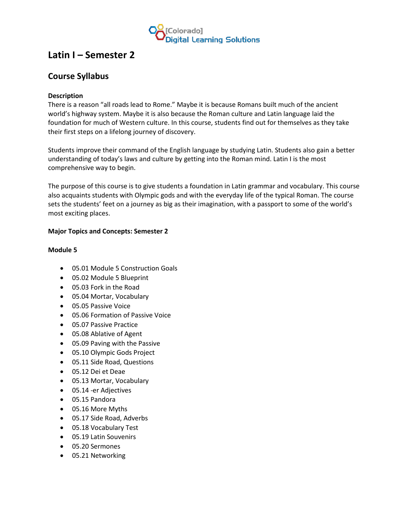

# **Latin I – Semester 2**

# **Course Syllabus**

## **Description**

There is a reason "all roads lead to Rome." Maybe it is because Romans built much of the ancient world's highway system. Maybe it is also because the Roman culture and Latin language laid the foundation for much of Western culture. In this course, students find out for themselves as they take their first steps on a lifelong journey of discovery.

Students improve their command of the English language by studying Latin. Students also gain a better understanding of today's laws and culture by getting into the Roman mind. Latin I is the most comprehensive way to begin.

The purpose of this course is to give students a foundation in Latin grammar and vocabulary. This course also acquaints students with Olympic gods and with the everyday life of the typical Roman. The course sets the students' feet on a journey as big as their imagination, with a passport to some of the world's most exciting places.

## **Major Topics and Concepts: Semester 2**

#### **Module 5**

- 05.01 Module 5 Construction Goals
- 05.02 Module 5 Blueprint
- 05.03 Fork in the Road
- 05.04 Mortar, Vocabulary
- 05.05 Passive Voice
- 05.06 Formation of Passive Voice
- 05.07 Passive Practice
- 05.08 Ablative of Agent
- 05.09 Paving with the Passive
- 05.10 Olympic Gods Project
- 05.11 Side Road, Questions
- 05.12 Dei et Deae
- 05.13 Mortar, Vocabulary
- 05.14 -er Adjectives
- 05.15 Pandora
- 05.16 More Myths
- 05.17 Side Road, Adverbs
- 05.18 Vocabulary Test
- 05.19 Latin Souvenirs
- 05.20 Sermones
- 05.21 Networking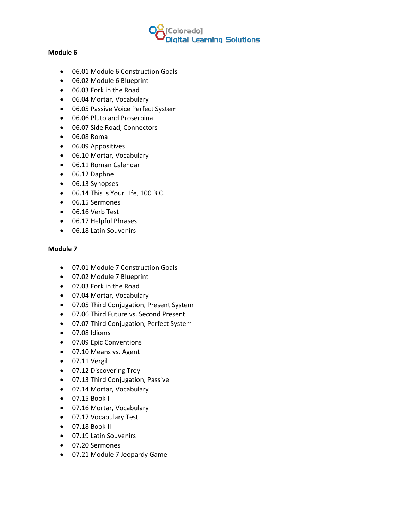

#### **Module 6**

- 06.01 Module 6 Construction Goals
- 06.02 Module 6 Blueprint
- 06.03 Fork in the Road
- 06.04 Mortar, Vocabulary
- 06.05 Passive Voice Perfect System
- 06.06 Pluto and Proserpina
- 06.07 Side Road, Connectors
- 06.08 Roma
- 06.09 Appositives
- 06.10 Mortar, Vocabulary
- 06.11 Roman Calendar
- 06.12 Daphne
- 06.13 Synopses
- 06.14 This is Your LIfe, 100 B.C.
- 06.15 Sermones
- 06.16 Verb Test
- 06.17 Helpful Phrases
- 06.18 Latin Souvenirs

#### **Module 7**

- 07.01 Module 7 Construction Goals
- 07.02 Module 7 Blueprint
- 07.03 Fork in the Road
- 07.04 Mortar, Vocabulary
- 07.05 Third Conjugation, Present System
- 07.06 Third Future vs. Second Present
- 07.07 Third Conjugation, Perfect System
- 07.08 Idioms
- 07.09 Epic Conventions
- 07.10 Means vs. Agent
- 07.11 Vergil
- 07.12 Discovering Troy
- 07.13 Third Conjugation, Passive
- 07.14 Mortar, Vocabulary
- 07.15 Book I
- 07.16 Mortar, Vocabulary
- 07.17 Vocabulary Test
- 07.18 Book II
- 07.19 Latin Souvenirs
- 07.20 Sermones
- 07.21 Module 7 Jeopardy Game